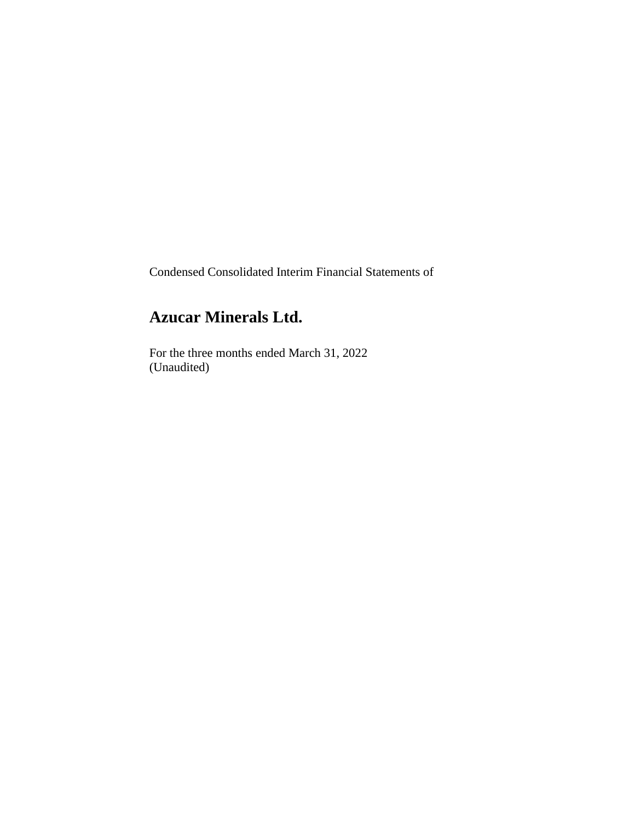Condensed Consolidated Interim Financial Statements of

# **Azucar Minerals Ltd.**

For the three months ended March 31, 2022 (Unaudited)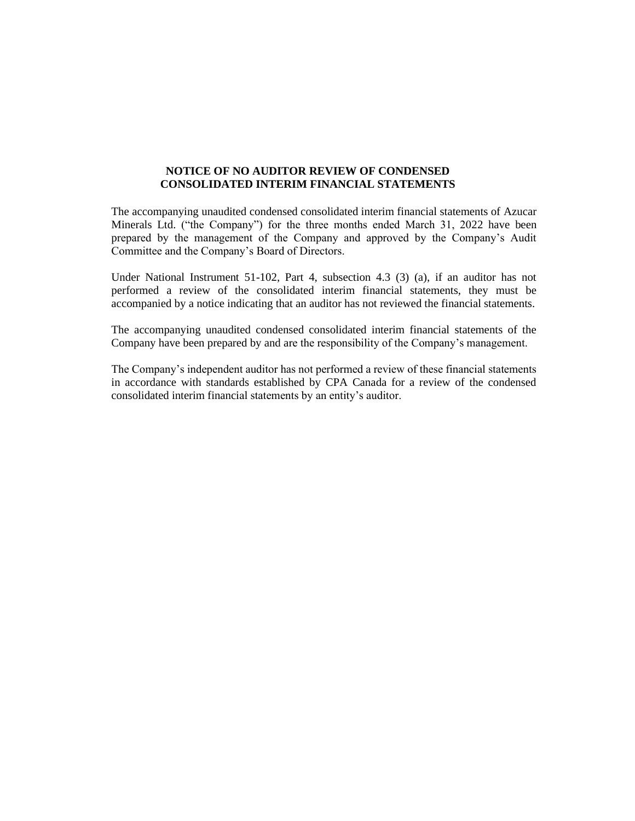# **NOTICE OF NO AUDITOR REVIEW OF CONDENSED CONSOLIDATED INTERIM FINANCIAL STATEMENTS**

The accompanying unaudited condensed consolidated interim financial statements of Azucar Minerals Ltd. ("the Company") for the three months ended March 31, 2022 have been prepared by the management of the Company and approved by the Company's Audit Committee and the Company's Board of Directors.

Under National Instrument 51-102, Part 4, subsection 4.3 (3) (a), if an auditor has not performed a review of the consolidated interim financial statements, they must be accompanied by a notice indicating that an auditor has not reviewed the financial statements.

The accompanying unaudited condensed consolidated interim financial statements of the Company have been prepared by and are the responsibility of the Company's management.

The Company's independent auditor has not performed a review of these financial statements in accordance with standards established by CPA Canada for a review of the condensed consolidated interim financial statements by an entity's auditor.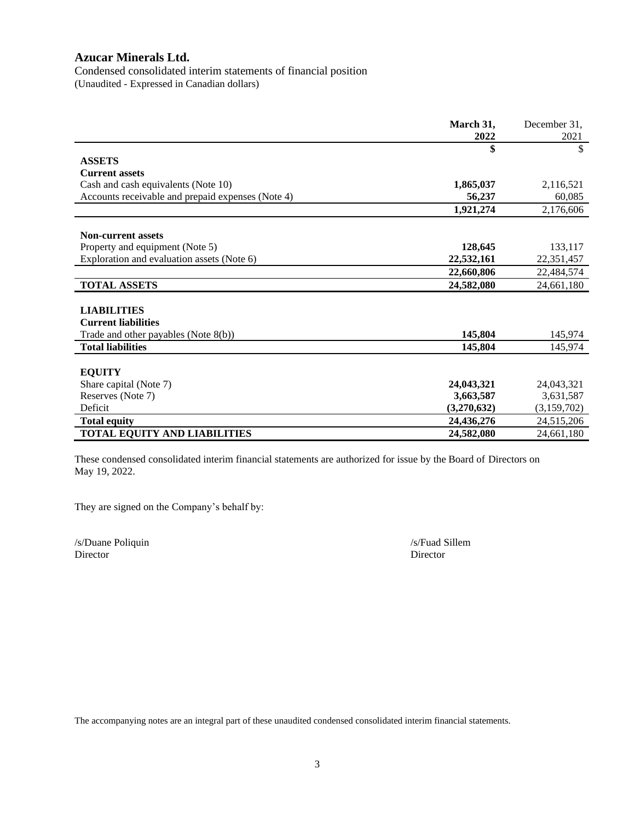Condensed consolidated interim statements of financial position (Unaudited - Expressed in Canadian dollars)

|                                                   | March 31,   | December 31, |
|---------------------------------------------------|-------------|--------------|
|                                                   | 2022        | 2021         |
|                                                   | \$          | \$           |
| <b>ASSETS</b>                                     |             |              |
| <b>Current assets</b>                             |             |              |
| Cash and cash equivalents (Note 10)               | 1,865,037   | 2,116,521    |
| Accounts receivable and prepaid expenses (Note 4) | 56,237      | 60.085       |
|                                                   | 1,921,274   | 2,176,606    |
|                                                   |             |              |
| <b>Non-current assets</b>                         |             |              |
| Property and equipment (Note 5)                   | 128,645     | 133,117      |
| Exploration and evaluation assets (Note 6)        | 22,532,161  | 22,351,457   |
|                                                   | 22,660,806  | 22,484,574   |
| <b>TOTAL ASSETS</b>                               | 24,582,080  | 24,661,180   |
|                                                   |             |              |
| <b>LIABILITIES</b>                                |             |              |
| <b>Current liabilities</b>                        |             |              |
| Trade and other payables (Note 8(b))              | 145,804     | 145,974      |
| <b>Total liabilities</b>                          | 145,804     | 145,974      |
|                                                   |             |              |
| <b>EQUITY</b>                                     |             |              |
| Share capital (Note 7)                            | 24,043,321  | 24,043,321   |
| Reserves (Note 7)                                 | 3,663,587   | 3,631,587    |
| Deficit                                           | (3,270,632) | (3,159,702)  |
| <b>Total equity</b>                               | 24,436,276  | 24,515,206   |
| <b>TOTAL EQUITY AND LIABILITIES</b>               | 24,582,080  | 24,661,180   |

These condensed consolidated interim financial statements are authorized for issue by the Board of Directors on May 19, 2022.

They are signed on the Company's behalf by:

/s/Duane Poliquin /s/Fuad Sillem Director Director

The accompanying notes are an integral part of these unaudited condensed consolidated interim financial statements.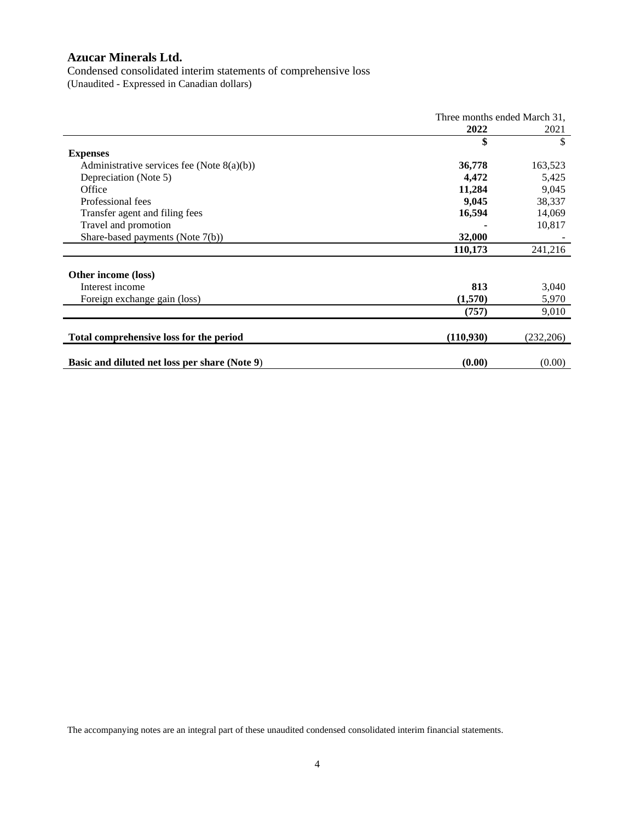Condensed consolidated interim statements of comprehensive loss (Unaudited - Expressed in Canadian dollars)

|                                               | Three months ended March 31, |           |
|-----------------------------------------------|------------------------------|-----------|
|                                               | 2022                         | 2021      |
|                                               | \$                           | \$        |
| <b>Expenses</b>                               |                              |           |
| Administrative services fee (Note $8(a)(b)$ ) | 36,778                       | 163,523   |
| Depreciation (Note 5)                         | 4,472                        | 5,425     |
| Office                                        | 11,284                       | 9,045     |
| Professional fees                             | 9,045                        | 38,337    |
| Transfer agent and filing fees                | 16,594                       | 14,069    |
| Travel and promotion                          |                              | 10,817    |
| Share-based payments (Note 7(b))              | 32,000                       |           |
|                                               | 110,173                      | 241,216   |
|                                               |                              |           |
| Other income (loss)                           |                              |           |
| Interest income                               | 813                          | 3,040     |
| Foreign exchange gain (loss)                  | (1,570)                      | 5,970     |
|                                               | (757)                        | 9,010     |
|                                               |                              |           |
| Total comprehensive loss for the period       | (110,930)                    | (232,206) |
|                                               |                              |           |
| Basic and diluted net loss per share (Note 9) | (0.00)                       | (0.00)    |

The accompanying notes are an integral part of these unaudited condensed consolidated interim financial statements.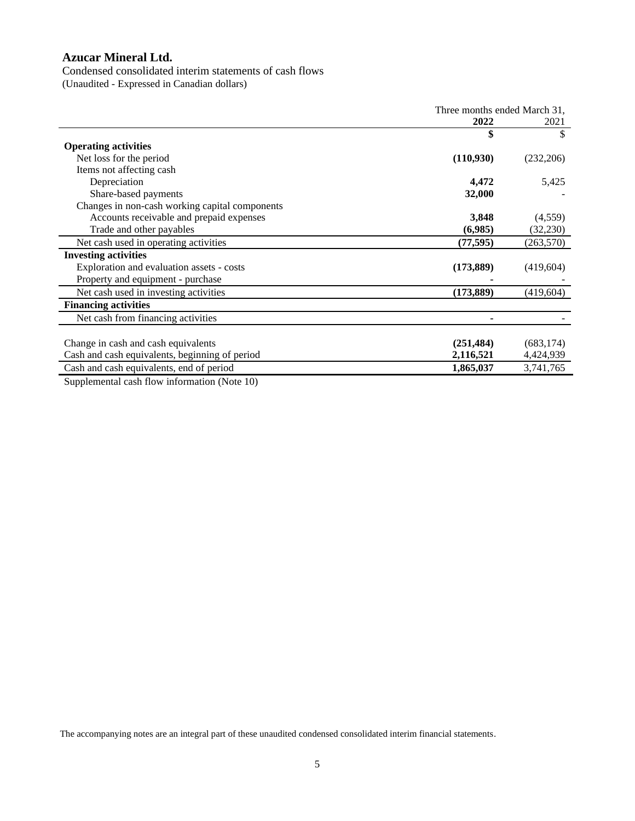Condensed consolidated interim statements of cash flows

(Unaudited - Expressed in Canadian dollars)

|                                                | Three months ended March 31, |            |
|------------------------------------------------|------------------------------|------------|
|                                                | 2022                         | 2021       |
|                                                | \$                           | \$         |
| <b>Operating activities</b>                    |                              |            |
| Net loss for the period                        | (110,930)                    | (232, 206) |
| Items not affecting cash                       |                              |            |
| Depreciation                                   | 4,472                        | 5,425      |
| Share-based payments                           | 32,000                       |            |
| Changes in non-cash working capital components |                              |            |
| Accounts receivable and prepaid expenses       | 3,848                        | (4,559)    |
| Trade and other payables                       | (6,985)                      | (32, 230)  |
| Net cash used in operating activities          | (77, 595)                    | (263, 570) |
| <b>Investing activities</b>                    |                              |            |
| Exploration and evaluation assets - costs      | (173, 889)                   | (419,604)  |
| Property and equipment - purchase              |                              |            |
| Net cash used in investing activities          | (173, 889)                   | (419, 604) |
| <b>Financing activities</b>                    |                              |            |
| Net cash from financing activities             |                              |            |
|                                                |                              |            |
| Change in cash and cash equivalents            | (251, 484)                   | (683, 174) |
| Cash and cash equivalents, beginning of period | 2,116,521                    | 4,424,939  |
| Cash and cash equivalents, end of period       | 1,865,037                    | 3,741,765  |
|                                                |                              |            |

Supplemental cash flow information (Note 10)

The accompanying notes are an integral part of these unaudited condensed consolidated interim financial statements.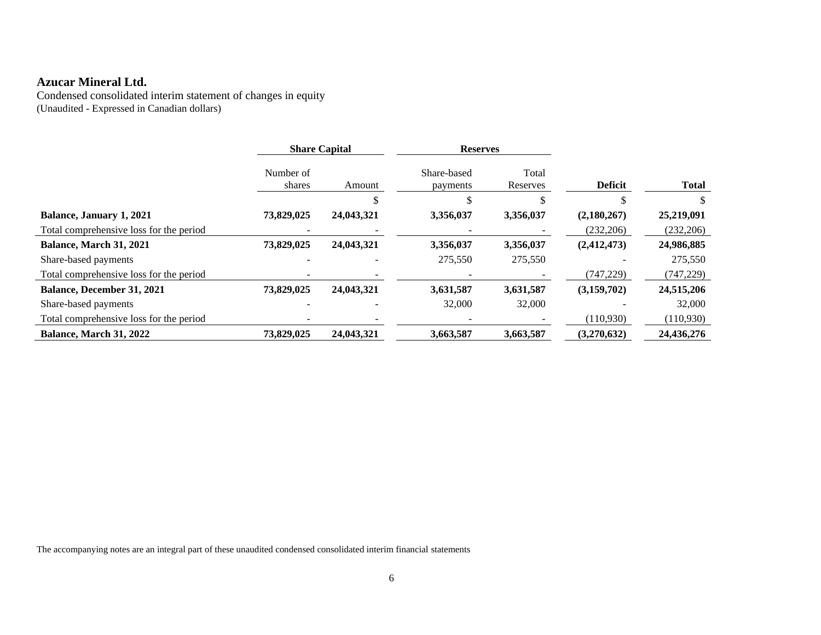Condensed consolidated interim statement of changes in equity (Unaudited - Expressed in Canadian dollars)

|                                         |                          | <b>Share Capital</b> | <b>Reserves</b>         |                   |                |              |
|-----------------------------------------|--------------------------|----------------------|-------------------------|-------------------|----------------|--------------|
|                                         | Number of<br>shares      | Amount               | Share-based<br>payments | Total<br>Reserves | <b>Deficit</b> | <b>Total</b> |
|                                         |                          |                      |                         |                   |                |              |
| Balance, January 1, 2021                | 73,829,025               | 24,043,321           | 3,356,037               | 3,356,037         | (2,180,267)    | 25,219,091   |
| Total comprehensive loss for the period | -                        |                      |                         |                   | (232,206)      | (232, 206)   |
| Balance, March 31, 2021                 | 73,829,025               | 24,043,321           | 3,356,037               | 3,356,037         | (2, 412, 473)  | 24,986,885   |
| Share-based payments                    |                          |                      | 275,550                 | 275,550           |                | 275,550      |
| Total comprehensive loss for the period |                          |                      |                         |                   | (747, 229)     | (747, 229)   |
| <b>Balance, December 31, 2021</b>       | 73,829,025               | 24,043,321           | 3,631,587               | 3,631,587         | (3,159,702)    | 24,515,206   |
| Share-based payments                    |                          |                      | 32,000                  | 32,000            |                | 32,000       |
| Total comprehensive loss for the period | $\overline{\phantom{a}}$ |                      |                         |                   | (110,930)      | (110, 930)   |
| Balance, March 31, 2022                 | 73.829,025               | 24,043,321           | 3,663,587               | 3,663,587         | (3,270,632)    | 24,436,276   |

The accompanying notes are an integral part of these unaudited condensed consolidated interim financial statements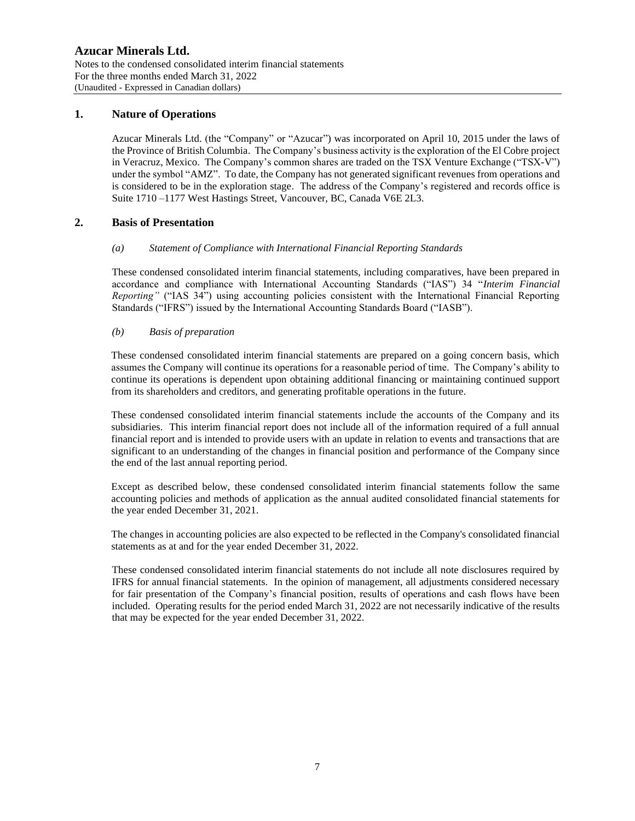# **1. Nature of Operations**

Azucar Minerals Ltd. (the "Company" or "Azucar") was incorporated on April 10, 2015 under the laws of the Province of British Columbia. The Company's business activity is the exploration of the El Cobre project in Veracruz, Mexico. The Company's common shares are traded on the TSX Venture Exchange ("TSX-V") under the symbol "AMZ". To date, the Company has not generated significant revenues from operations and is considered to be in the exploration stage. The address of the Company's registered and records office is Suite 1710 –1177 West Hastings Street, Vancouver, BC, Canada V6E 2L3.

# **2. Basis of Presentation**

### *(a) Statement of Compliance with International Financial Reporting Standards*

These condensed consolidated interim financial statements, including comparatives, have been prepared in accordance and compliance with International Accounting Standards ("IAS") 34 "*Interim Financial Reporting"* ("IAS 34") using accounting policies consistent with the International Financial Reporting Standards ("IFRS") issued by the International Accounting Standards Board ("IASB").

#### *(b) Basis of preparation*

These condensed consolidated interim financial statements are prepared on a going concern basis, which assumes the Company will continue its operations for a reasonable period of time. The Company's ability to continue its operations is dependent upon obtaining additional financing or maintaining continued support from its shareholders and creditors, and generating profitable operations in the future.

These condensed consolidated interim financial statements include the accounts of the Company and its subsidiaries. This interim financial report does not include all of the information required of a full annual financial report and is intended to provide users with an update in relation to events and transactions that are significant to an understanding of the changes in financial position and performance of the Company since the end of the last annual reporting period.

Except as described below, these condensed consolidated interim financial statements follow the same accounting policies and methods of application as the annual audited consolidated financial statements for the year ended December 31, 2021.

The changes in accounting policies are also expected to be reflected in the Company's consolidated financial statements as at and for the year ended December 31, 2022.

These condensed consolidated interim financial statements do not include all note disclosures required by IFRS for annual financial statements. In the opinion of management, all adjustments considered necessary for fair presentation of the Company's financial position, results of operations and cash flows have been included. Operating results for the period ended March 31, 2022 are not necessarily indicative of the results that may be expected for the year ended December 31, 2022.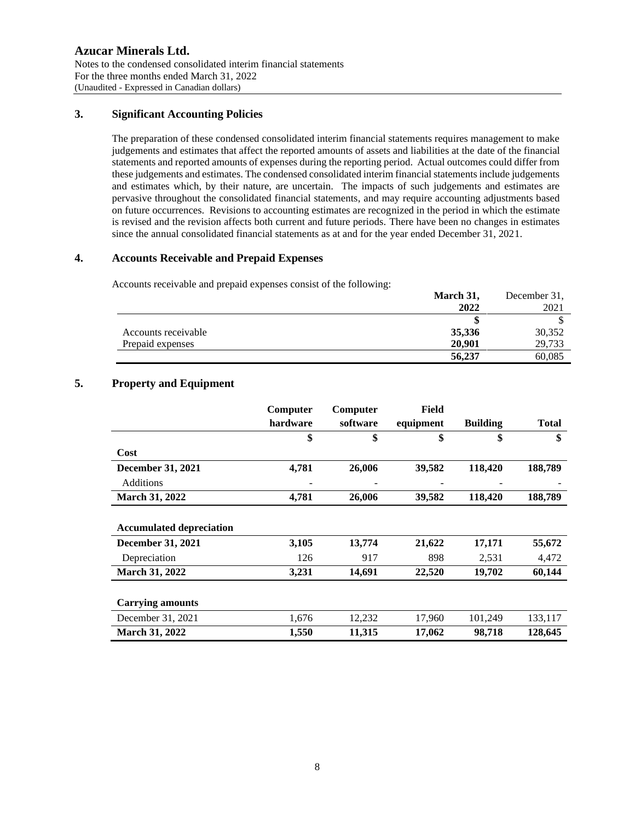# **Azucar Minerals Ltd.** Notes to the condensed consolidated interim financial statements For the three months ended March 31, 2022 (Unaudited - Expressed in Canadian dollars)

# **3. Significant Accounting Policies**

The preparation of these condensed consolidated interim financial statements requires management to make judgements and estimates that affect the reported amounts of assets and liabilities at the date of the financial statements and reported amounts of expenses during the reporting period. Actual outcomes could differ from these judgements and estimates. The condensed consolidated interim financial statements include judgements and estimates which, by their nature, are uncertain. The impacts of such judgements and estimates are pervasive throughout the consolidated financial statements, and may require accounting adjustments based on future occurrences. Revisions to accounting estimates are recognized in the period in which the estimate is revised and the revision affects both current and future periods. There have been no changes in estimates since the annual consolidated financial statements as at and for the year ended December 31, 2021.

# **4. Accounts Receivable and Prepaid Expenses**

Accounts receivable and prepaid expenses consist of the following:

|                     | March 31, | December 31. |
|---------------------|-----------|--------------|
|                     | 2022      | 2021         |
|                     |           |              |
| Accounts receivable | 35,336    | 30,352       |
| Prepaid expenses    | 20.901    | 29,733       |
|                     | 56,237    | 60,085       |

# **5. Property and Equipment**

|                                 | Computer | Computer | Field     |                 |              |
|---------------------------------|----------|----------|-----------|-----------------|--------------|
|                                 | hardware | software | equipment | <b>Building</b> | <b>Total</b> |
|                                 | \$       | \$       | \$        | \$              | \$           |
| Cost                            |          |          |           |                 |              |
| <b>December 31, 2021</b>        | 4,781    | 26,006   | 39,582    | 118,420         | 188,789      |
| <b>Additions</b>                |          |          |           |                 |              |
| <b>March 31, 2022</b>           | 4,781    | 26,006   | 39,582    | 118,420         | 188,789      |
|                                 |          |          |           |                 |              |
| <b>Accumulated depreciation</b> |          |          |           |                 |              |
| <b>December 31, 2021</b>        | 3,105    | 13,774   | 21,622    | 17,171          | 55,672       |
| Depreciation                    | 126      | 917      | 898       | 2,531           | 4,472        |
| March 31, 2022                  | 3,231    | 14,691   | 22,520    | 19,702          | 60,144       |
|                                 |          |          |           |                 |              |
| <b>Carrying amounts</b>         |          |          |           |                 |              |
| December 31, 2021               | 1,676    | 12,232   | 17,960    | 101,249         | 133,117      |
| <b>March 31, 2022</b>           | 1,550    | 11,315   | 17,062    | 98,718          | 128,645      |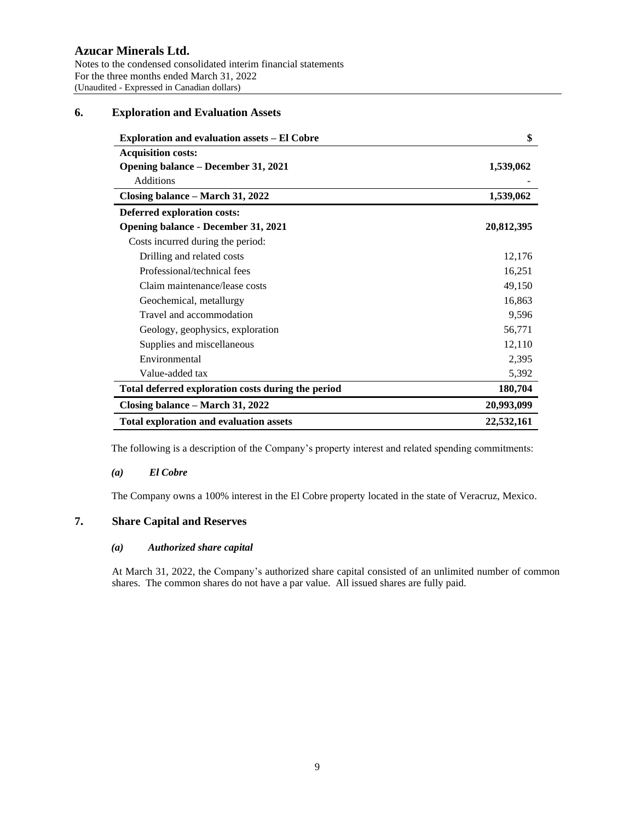# **6. Exploration and Evaluation Assets**

| <b>Exploration and evaluation assets - El Cobre</b> | \$         |
|-----------------------------------------------------|------------|
| <b>Acquisition costs:</b>                           |            |
| <b>Opening balance – December 31, 2021</b>          | 1,539,062  |
| <b>Additions</b>                                    |            |
| Closing balance – March 31, 2022                    | 1,539,062  |
| <b>Deferred exploration costs:</b>                  |            |
| <b>Opening balance - December 31, 2021</b>          | 20,812,395 |
| Costs incurred during the period:                   |            |
| Drilling and related costs                          | 12,176     |
| Professional/technical fees                         | 16,251     |
| Claim maintenance/lease costs                       | 49,150     |
| Geochemical, metallurgy                             | 16,863     |
| Travel and accommodation                            | 9,596      |
| Geology, geophysics, exploration                    | 56,771     |
| Supplies and miscellaneous                          | 12,110     |
| Environmental                                       | 2,395      |
| Value-added tax                                     | 5,392      |
| Total deferred exploration costs during the period  | 180,704    |
| Closing balance – March 31, 2022                    | 20,993,099 |
| <b>Total exploration and evaluation assets</b>      | 22,532,161 |

The following is a description of the Company's property interest and related spending commitments:

### *(a) El Cobre*

The Company owns a 100% interest in the El Cobre property located in the state of Veracruz, Mexico.

# **7. Share Capital and Reserves**

### *(a) Authorized share capital*

At March 31, 2022, the Company's authorized share capital consisted of an unlimited number of common shares. The common shares do not have a par value. All issued shares are fully paid.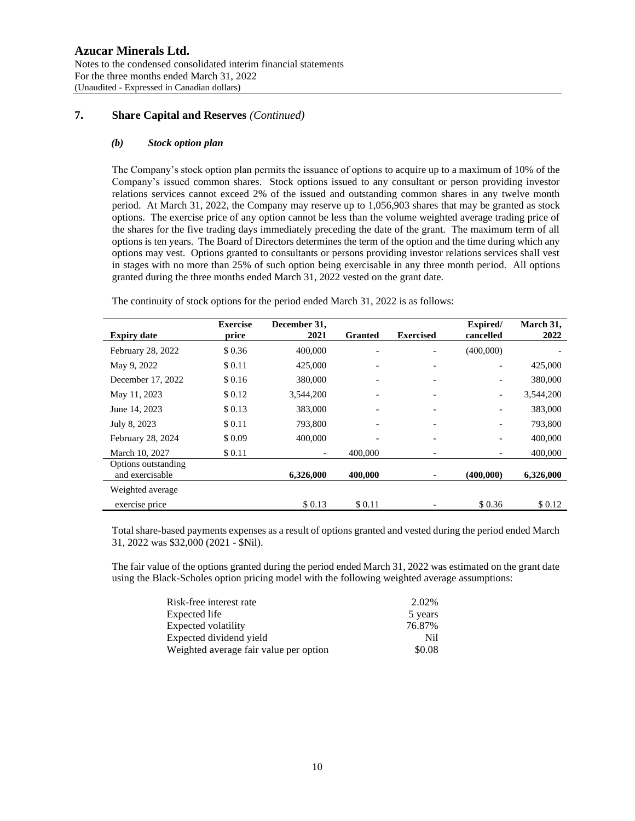# **Azucar Minerals Ltd.** Notes to the condensed consolidated interim financial statements For the three months ended March 31, 2022 (Unaudited - Expressed in Canadian dollars)

# **7. Share Capital and Reserves** *(Continued)*

#### *(b) Stock option plan*

The Company's stock option plan permits the issuance of options to acquire up to a maximum of 10% of the Company's issued common shares. Stock options issued to any consultant or person providing investor relations services cannot exceed 2% of the issued and outstanding common shares in any twelve month period. At March 31, 2022, the Company may reserve up to 1,056,903 shares that may be granted as stock options. The exercise price of any option cannot be less than the volume weighted average trading price of the shares for the five trading days immediately preceding the date of the grant. The maximum term of all options is ten years. The Board of Directors determines the term of the option and the time during which any options may vest. Options granted to consultants or persons providing investor relations services shall vest in stages with no more than 25% of such option being exercisable in any three month period. All options granted during the three months ended March 31, 2022 vested on the grant date.

| <b>Expiry date</b>                     | <b>Exercise</b><br>price | December 31.<br>2021 | <b>Granted</b> | <b>Exercised</b>         | Expired/<br>cancelled    | March 31,<br>2022 |
|----------------------------------------|--------------------------|----------------------|----------------|--------------------------|--------------------------|-------------------|
| February 28, 2022                      | \$0.36                   | 400,000              |                |                          | (400,000)                |                   |
| May 9, 2022                            | \$0.11                   | 425,000              |                | -                        |                          | 425,000           |
| December 17, 2022                      | \$0.16                   | 380,000              |                |                          |                          | 380,000           |
| May 11, 2023                           | \$0.12                   | 3,544,200            |                | $\overline{\phantom{a}}$ | $\overline{\phantom{a}}$ | 3,544,200         |
| June 14, 2023                          | \$0.13                   | 383,000              | -              | $\overline{\phantom{a}}$ | -                        | 383,000           |
| July 8, 2023                           | \$ 0.11                  | 793,800              |                |                          | -                        | 793,800           |
| February 28, 2024                      | \$0.09                   | 400,000              |                | $\overline{\phantom{a}}$ | $\overline{\phantom{a}}$ | 400,000           |
| March 10, 2027                         | \$0.11                   |                      | 400,000        |                          |                          | 400,000           |
| Options outstanding<br>and exercisable |                          | 6,326,000            | 400,000        | ٠                        | (400.000)                | 6,326,000         |
| Weighted average                       |                          |                      |                |                          |                          |                   |
| exercise price                         |                          | \$0.13               | \$0.11         |                          | \$0.36                   | \$0.12            |

The continuity of stock options for the period ended March 31, 2022 is as follows:

Total share-based payments expenses as a result of options granted and vested during the period ended March 31, 2022 was \$32,000 (2021 - \$Nil).

The fair value of the options granted during the period ended March 31, 2022 was estimated on the grant date using the Black-Scholes option pricing model with the following weighted average assumptions:

| Risk-free interest rate                | 2.02%   |
|----------------------------------------|---------|
| Expected life                          | 5 years |
| Expected volatility                    | 76.87%  |
| Expected dividend yield                | Nil.    |
| Weighted average fair value per option | \$0.08  |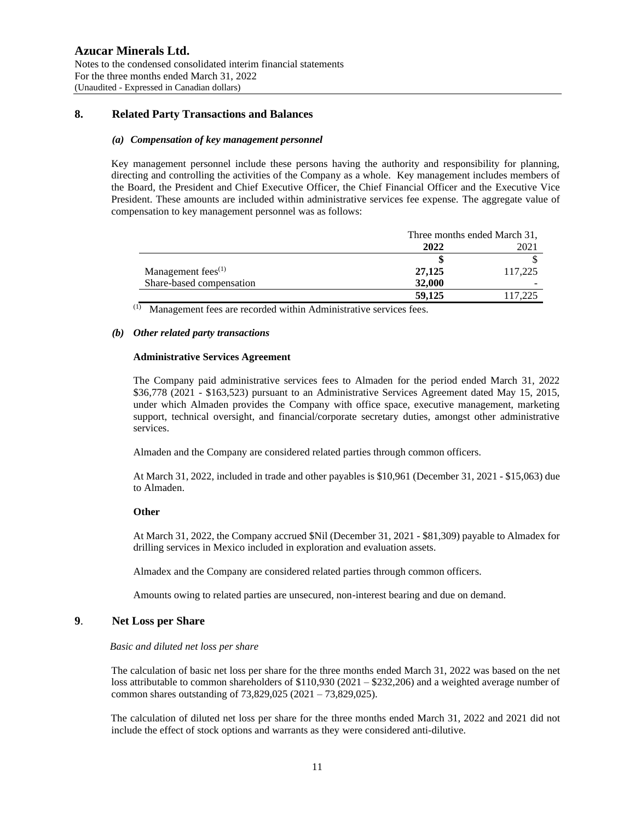# **8. Related Party Transactions and Balances**

#### *(a) Compensation of key management personnel*

Key management personnel include these persons having the authority and responsibility for planning, directing and controlling the activities of the Company as a whole. Key management includes members of the Board, the President and Chief Executive Officer, the Chief Financial Officer and the Executive Vice President. These amounts are included within administrative services fee expense. The aggregate value of compensation to key management personnel was as follows:

|                          | Three months ended March 31. |         |
|--------------------------|------------------------------|---------|
|                          | 2022                         | 2021    |
|                          |                              |         |
| Management fees $(1)$    | 27,125                       | 117,225 |
| Share-based compensation | 32,000                       |         |
|                          | 59,125                       | 117,225 |

(1) Management fees are recorded within Administrative services fees.

#### *(b) Other related party transactions*

#### **Administrative Services Agreement**

The Company paid administrative services fees to Almaden for the period ended March 31, 2022 \$36,778 (2021 - \$163,523) pursuant to an Administrative Services Agreement dated May 15, 2015, under which Almaden provides the Company with office space, executive management, marketing support, technical oversight, and financial/corporate secretary duties, amongst other administrative services.

Almaden and the Company are considered related parties through common officers.

At March 31, 2022, included in trade and other payables is \$10,961 (December 31, 2021 - \$15,063) due to Almaden.

#### **Other**

At March 31, 2022, the Company accrued \$Nil (December 31, 2021 - \$81,309) payable to Almadex for drilling services in Mexico included in exploration and evaluation assets.

Almadex and the Company are considered related parties through common officers.

Amounts owing to related parties are unsecured, non-interest bearing and due on demand.

### **9**. **Net Loss per Share**

#### *Basic and diluted net loss per share*

The calculation of basic net loss per share for the three months ended March 31, 2022 was based on the net loss attributable to common shareholders of \$110,930 (2021 – \$232,206) and a weighted average number of common shares outstanding of 73,829,025 (2021 – 73,829,025).

The calculation of diluted net loss per share for the three months ended March 31, 2022 and 2021 did not include the effect of stock options and warrants as they were considered anti-dilutive.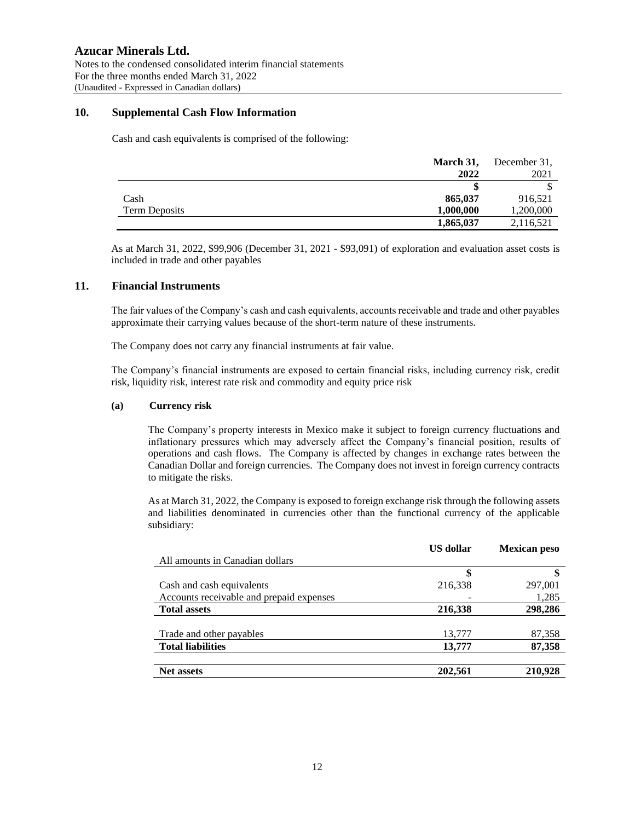### **10. Supplemental Cash Flow Information**

Cash and cash equivalents is comprised of the following:

|                      | March 31, | December 31, |
|----------------------|-----------|--------------|
|                      | 2022      | 2021         |
|                      |           |              |
| Cash                 | 865,037   | 916,521      |
| <b>Term Deposits</b> | 1,000,000 | 1,200,000    |
|                      | 1,865,037 | 2,116,521    |

As at March 31, 2022, \$99,906 (December 31, 2021 - \$93,091) of exploration and evaluation asset costs is included in trade and other payables

### **11. Financial Instruments**

The fair values of the Company's cash and cash equivalents, accounts receivable and trade and other payables approximate their carrying values because of the short-term nature of these instruments.

The Company does not carry any financial instruments at fair value.

The Company's financial instruments are exposed to certain financial risks, including currency risk, credit risk, liquidity risk, interest rate risk and commodity and equity price risk

#### **(a) Currency risk**

The Company's property interests in Mexico make it subject to foreign currency fluctuations and inflationary pressures which may adversely affect the Company's financial position, results of operations and cash flows. The Company is affected by changes in exchange rates between the Canadian Dollar and foreign currencies. The Company does not invest in foreign currency contracts to mitigate the risks.

As at March 31, 2022, the Company is exposed to foreign exchange risk through the following assets and liabilities denominated in currencies other than the functional currency of the applicable subsidiary:

|                                          | US dollar | <b>Mexican peso</b> |
|------------------------------------------|-----------|---------------------|
| All amounts in Canadian dollars          |           |                     |
|                                          | \$        | \$                  |
| Cash and cash equivalents                | 216,338   | 297,001             |
| Accounts receivable and prepaid expenses |           | 1,285               |
| <b>Total assets</b>                      | 216,338   | 298,286             |
|                                          |           |                     |
| Trade and other payables                 | 13,777    | 87,358              |
| <b>Total liabilities</b>                 | 13,777    | 87,358              |
|                                          |           |                     |
| <b>Net assets</b>                        | 202,561   | 210,928             |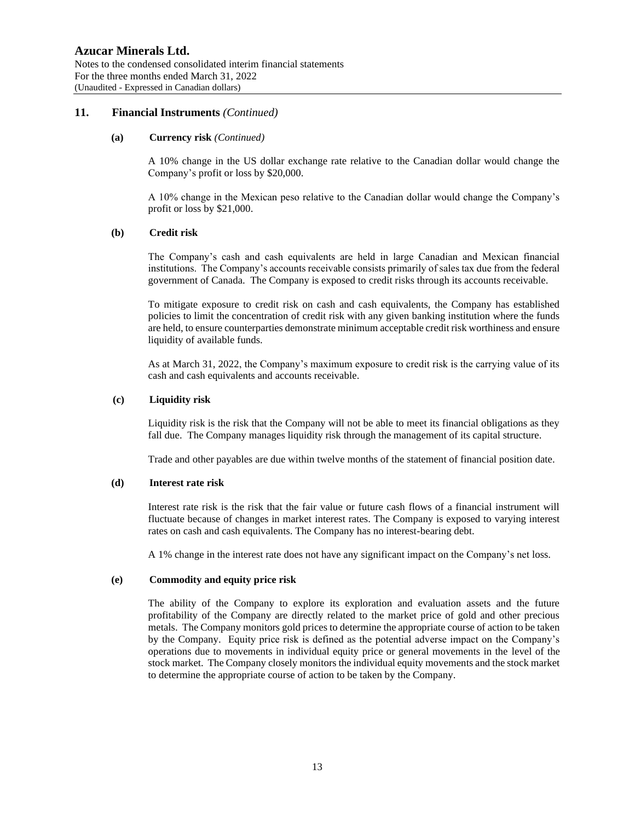#### **11. Financial Instruments** *(Continued)*

#### **(a) Currency risk** *(Continued)*

A 10% change in the US dollar exchange rate relative to the Canadian dollar would change the Company's profit or loss by \$20,000.

A 10% change in the Mexican peso relative to the Canadian dollar would change the Company's profit or loss by \$21,000.

#### **(b) Credit risk**

The Company's cash and cash equivalents are held in large Canadian and Mexican financial institutions. The Company's accounts receivable consists primarily of sales tax due from the federal government of Canada. The Company is exposed to credit risks through its accounts receivable.

To mitigate exposure to credit risk on cash and cash equivalents, the Company has established policies to limit the concentration of credit risk with any given banking institution where the funds are held, to ensure counterparties demonstrate minimum acceptable credit risk worthiness and ensure liquidity of available funds.

As at March 31, 2022, the Company's maximum exposure to credit risk is the carrying value of its cash and cash equivalents and accounts receivable.

#### **(c) Liquidity risk**

Liquidity risk is the risk that the Company will not be able to meet its financial obligations as they fall due. The Company manages liquidity risk through the management of its capital structure.

Trade and other payables are due within twelve months of the statement of financial position date.

#### **(d) Interest rate risk**

Interest rate risk is the risk that the fair value or future cash flows of a financial instrument will fluctuate because of changes in market interest rates. The Company is exposed to varying interest rates on cash and cash equivalents. The Company has no interest-bearing debt.

A 1% change in the interest rate does not have any significant impact on the Company's net loss.

#### **(e) Commodity and equity price risk**

The ability of the Company to explore its exploration and evaluation assets and the future profitability of the Company are directly related to the market price of gold and other precious metals. The Company monitors gold prices to determine the appropriate course of action to be taken by the Company. Equity price risk is defined as the potential adverse impact on the Company's operations due to movements in individual equity price or general movements in the level of the stock market. The Company closely monitors the individual equity movements and the stock market to determine the appropriate course of action to be taken by the Company.